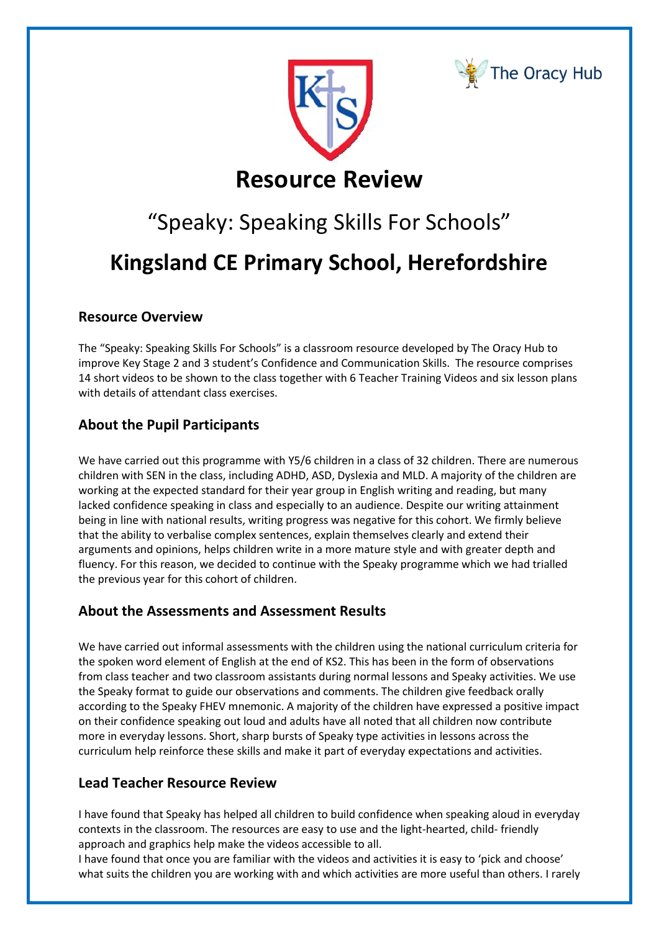



# **Resource Review**

# "Speaky: Speaking Skills For Schools" **Kingsland CE Primary School, Herefordshire**

### **Resource Overview**

The "Speaky: Speaking Skills For Schools" is a classroom resource developed by The Oracy Hub to improve Key Stage 2 and 3 student's Confidence and Communication Skills. The resource comprises 14 short videos to be shown to the class together with 6 Teacher Training Videos and six lesson plans with details of attendant class exercises.

## **About the Pupil Participants**

We have carried out this programme with Y5/6 children in a class of 32 children. There are numerous children with SEN in the class, including ADHD, ASD, Dyslexia and MLD. A majority of the children are working at the expected standard for their year group in English writing and reading, but many lacked confidence speaking in class and especially to an audience. Despite our writing attainment being in line with national results, writing progress was negative for this cohort. We firmly believe that the ability to verbalise complex sentences, explain themselves clearly and extend their arguments and opinions, helps children write in a more mature style and with greater depth and fluency. For this reason, we decided to continue with the Speaky programme which we had trialled the previous year for this cohort of children.

#### **About the Assessments and Assessment Results**

We have carried out informal assessments with the children using the national curriculum criteria for the spoken word element of English at the end of KS2. This has been in the form of observations from class teacher and two classroom assistants during normal lessons and Speaky activities. We use the Speaky format to guide our observations and comments. The children give feedback orally according to the Speaky FHEV mnemonic. A majority of the children have expressed a positive impact on their confidence speaking out loud and adults have all noted that all children now contribute more in everyday lessons. Short, sharp bursts of Speaky type activities in lessons across the curriculum help reinforce these skills and make it part of everyday expectations and activities.

#### **Lead Teacher Resource Review**

I have found that Speaky has helped all children to build confidence when speaking aloud in everyday contexts in the classroom. The resources are easy to use and the light-hearted, child- friendly approach and graphics help make the videos accessible to all.

I have found that once you are familiar with the videos and activities it is easy to 'pick and choose' what suits the children you are working with and which activities are more useful than others. I rarely